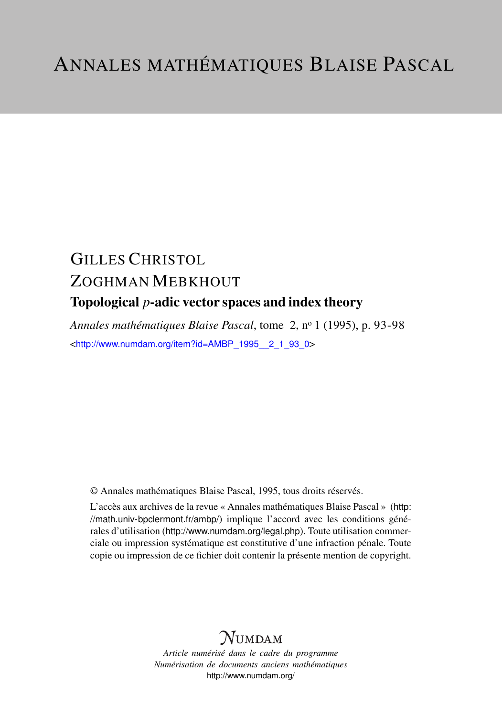# GILLES CHRISTOL ZOGHMAN MEBKHOUT Topological *p*-adic vector spaces and index theory

*Annales mathématiques Blaise Pascal*, tome 2, n<sup>o</sup> 1 (1995), p. 93-98 <[http://www.numdam.org/item?id=AMBP\\_1995\\_\\_2\\_1\\_93\\_0](http://www.numdam.org/item?id=AMBP_1995__2_1_93_0)>

© Annales mathématiques Blaise Pascal, 1995, tous droits réservés.

L'accès aux archives de la revue « Annales mathématiques Blaise Pascal » ([http:](http://math.univ-bpclermont.fr/ambp/) [//math.univ-bpclermont.fr/ambp/](http://math.univ-bpclermont.fr/ambp/)) implique l'accord avec les conditions générales d'utilisation (<http://www.numdam.org/legal.php>). Toute utilisation commerciale ou impression systématique est constitutive d'une infraction pénale. Toute copie ou impression de ce fichier doit contenir la présente mention de copyright.

## **NUMDAM**

*Article numérisé dans le cadre du programme Numérisation de documents anciens mathématiques* <http://www.numdam.org/>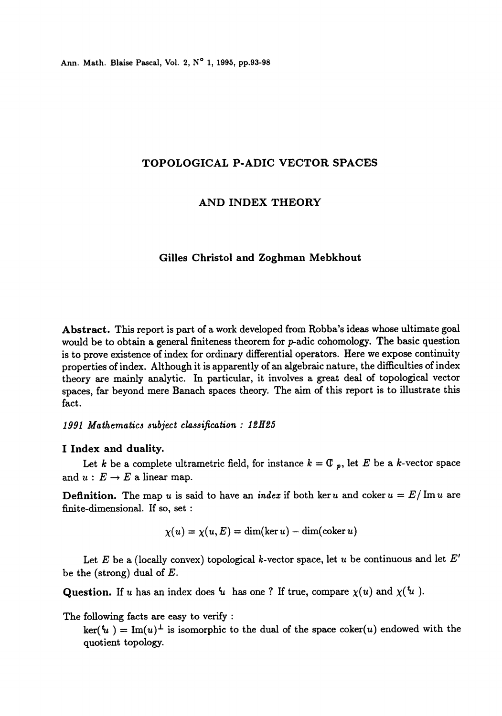Ann. Math. Blaise Pascal, Vol. 2, N° 1, 1995, pp.93-98

## TOPOLOGICAL P-ADIC VECTOR SPACES

## AND INDEX THEORY

## Gilles Christol and Zoghman Mebkhout

Abstract. This report is part of a work developed from Robba's ideas whose ultimate goal would be to obtain a general finiteness theorem for  $p$ -adic cohomology. The basic question is to prove existence of index for ordinary differential operators. Here we expose continuity properties of index. Although it is apparently of an algebraic nature, the difficulties of index theory are mainly analytic. In particular, it involves a great deal of topological vector spaces, far beyond mere Banach spaces theory. The aim of this report is to illustrate this fact.

#### 1991 Mathematics subject classification : 12H25

#### I Index and duality.

Let k be a complete ultrametric field, for instance  $k = \mathbb{C}$   $_p$ , let E be a k-vector space and  $u : E \to E$  a linear map.

**Definition.** The map u is said to have an *index* if both ker u and coker  $u = E / Im u$  are finite-dimensional. If so, set :

$$
\chi(u)=\chi(u,E)=\dim(\ker u)-\dim(\operatorname{coker} u)
$$

Let E be a (locally convex) topological k-vector space, let u be continuous and let  $E'$ be the (strong) dual of  $E$ .

Question. If u has an index does  $u$  has one ? If true, compare  $\chi(u)$  and  $\chi(u)$ .

The following facts are easy to verify :

 $\ker(\mathfrak{t}_u) = \text{Im}(u)$ <sup> $\perp$ </sup> is isomorphic to the dual of the space coker(u) endowed with the quotient topology.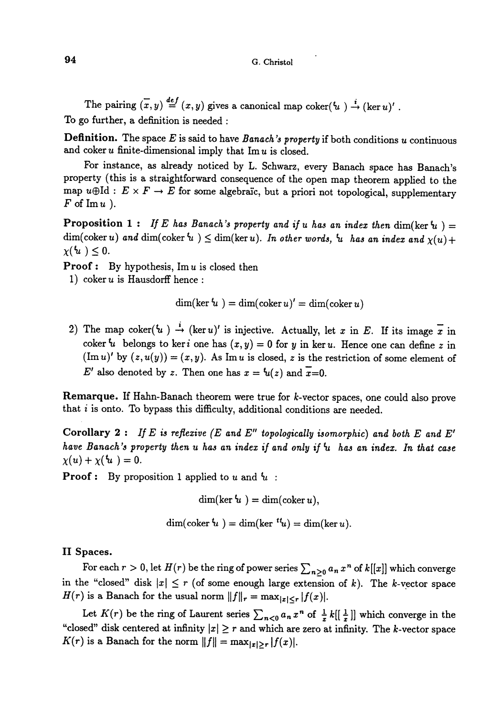#### G. Christol

The pairing  $(x, y) \stackrel{def}{=} (x, y)$  gives a canonical map coker $(u) \stackrel{i}{\rightarrow} (\ker u)'$ . To go further, a definition is needed :

**Definition.** The space  $E$  is said to have Banach's property if both conditions  $u$  continuous and coker  $u$  finite-dimensional imply that  $\text{Im } u$  is closed.

For instance, as already noticed by L. Schwarz, every Banach space has Banach's property (this is a straightforward consequence of the open map theorem applied to the map  $u \oplus \mathrm{Id} : E \times F \to E$  for some algebraic, but a priori not topological, supplementary  $F$  of  $\text{Im } u$ ).

**Proposition 1:** If E has Banach's property and if u has an index then  $\dim(\ker u) =$  $\dim(\text{coker } u)$  and  $\dim(\text{coker }^t u) \leq \dim(\ker u)$ . In other words,  $u$  has an index and  $\chi(u) + \chi(u) \leq 0$ .

**Proof:** By hypothesis,  $\text{Im } u$  is closed then

1) coker  $u$  is Hausdorff hence :

$$
\dim(\ker u') = \dim(\operatorname{coker} u)' = \dim(\operatorname{coker} u)
$$

2) The map coker( $u$ )  $\rightarrow$  (ker u)' is injective. Actually, let x in E. If its image  $\overline{x}$  in coker  $u$  belongs to ker *i* one has  $(x, y) = 0$  for *y* in ker *u*. Hence one can define *z* in  $(\text{Im } u)'$  by  $(z, u(y)) = (x, y)$ . As Im u is closed, z is the restriction of some element of E' also denoted by z. Then one has  $x = u(z)$  and  $\overline{x}=0$ .

Remarque. If Hahn-Banach theorem were true for k-vector spaces, one could also prove that  $i$  is onto. To bypass this difficulty, additional conditions are needed.

Corollary 2: If E is reflexive (E and E" topologically isomorphic) and both E and E' have Banach's property then u has an index if and only if  $u$  has an index. In that case  $\chi(u) + \chi(\mathbf{u}) = 0.$ 

**Proof:** By proposition 1 applied to u and  $u$ :

 $\dim(\ker u) = \dim(\text{coker } u),$ 

 $\dim(\text{coker }^t u) = \dim(\text{ker }^{t} u) = \dim(\text{ker } u).$ 

## II Spaces.

For each  $r > 0$ , let  $H(r)$  be the ring of power series  $\sum_{n\geq 0} a_n x^n$  of  $k[[x]]$  which converge in the "closed" disk  $|x| \le r$  (of some enough large extension of k). The k-vector space  $H(r)$  is a Banach for the usual norm  $||f||_r = \max_{|x| \le r} |f(x)|$ .

Let  $K(r)$  be the ring of Laurent series  $\sum_{n<0}a_nx^n$  of  $\frac{1}{x}k[[\frac{1}{x}]]$  which converge in the "closed" disk centered at infinity  $|x| \ge r$  and which are zero at infinity. The k-vector space  $K(r)$  is a Banach for the norm  $||f|| = \max_{|x| \ge r} |f(x)|$ .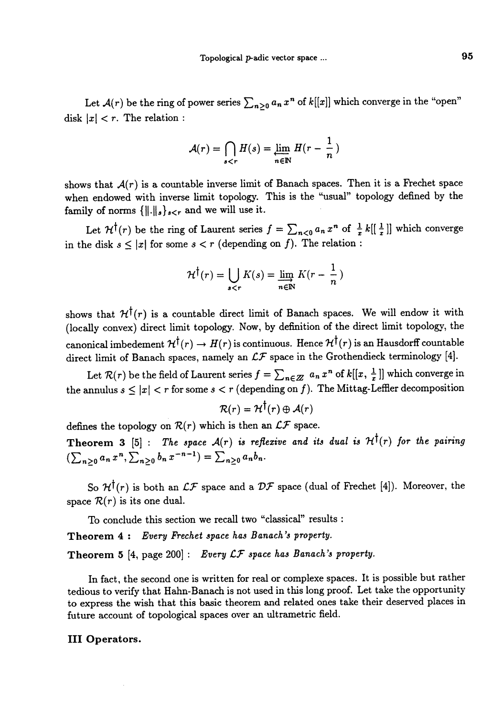Let  $\mathcal{A}(r)$  be the ring of power series  $\sum_{n\geq 0}a_n x^n$  of  $k[[x]]$  which converge in the "open" disk  $|x| < r$ . The relation :

$$
\mathcal{A}(r) = \bigcap_{s < r} H(s) = \lim_{n \in \mathbb{N}} H(r - \frac{1}{n})
$$

shows that  $\mathcal{A}(r)$  is a countable inverse limit of Banach spaces. Then it is a Frechet space<br>when endowed with inverse limit topology. This is the "usual" topology defined by the<br>family of norms  $\{\|\cdot\|_s\}_{s\leq r}$  and when endowed with inverse limit topology. This is the "usual" topology defined by the

Let  $\mathcal{H}^{\dagger}(r)$  be the ring of Laurent series  $f = \sum_{n<0} a_n x^n$  of  $\frac{1}{x} k[[\frac{1}{x}]]$  which converge in the disk  $s \leq |x|$  for some  $s < r$  (depending on f). The relation :

$$
\mathcal{H}^{\dagger}(r) = \bigcup_{s < r} K(s) = \varinjlim_{n \in \mathbb{N}} K(r - \frac{1}{n})
$$

shows that  $\mathcal{H}^{\dagger}(r)$  is a countable direct limit of Banach spaces. We will endow it with (locally convex) direct limit topology. Now, by definition of the direct limit topology, the canonical imbedement  $\mathcal{H}^{\dagger}(r) \to H(r)$  is continuous. Hence  $\mathcal{H}^{\dagger}(r)$  is an Hausdorff countable direct limit of Banach spaces, namely an  $LF$  space in the Grothendieck terminology [4].

Let  $\mathcal{R}(r)$  be the field of Laurent series  $f = \sum_{n \in \mathbb{Z}} a_n x^n$  of  $k[[x, \frac{1}{x}]]$  which converge in the annulus  $s \leq |x| < r$  for some  $s < r$  (depending on f). The Mittag-Leffler decomposition

$$
\mathcal{R}(r) = \mathcal{H}^{\dagger}(r) \oplus \mathcal{A}(r)
$$

defines the topology on  $\mathcal{R}(r)$  which is then an  $\mathcal{LF}$  space.

Theorem 3 [5] : The space  $A(r)$  is reflexive and its dual is  $\mathcal{H}^{\dagger}(r)$  for the pairing  $(\sum_{n\geq 0}a_n x^n, \sum_{n\geq 0}b_n x^{-n-1})=\sum_{n\geq 0}a_nb_n.$ 

So  $\mathcal{H}^{\dagger}(r)$  is both an  $\mathcal{LF}$  space and a  $\mathcal{DF}$  space (dual of Frechet [4]). Moreover, the space  $\mathcal{R}(r)$  is its one dual.

To conclude this section we recall two "classical" results :

Theorem 4: Every Frechet space has Banach's property.

Theorem 5 [4, page 200] : Every  $LF$  space has Banach's property.

In fact, the second one is written for real or complexe spaces. It is possible but rather tedious to verify that Hahn-Banach is not used in this long proof. Let take the opportunity to express the wish that this basic theorem and related ones take their deserved places in future account of topological spaces over an ultrametric field.

#### III Operators.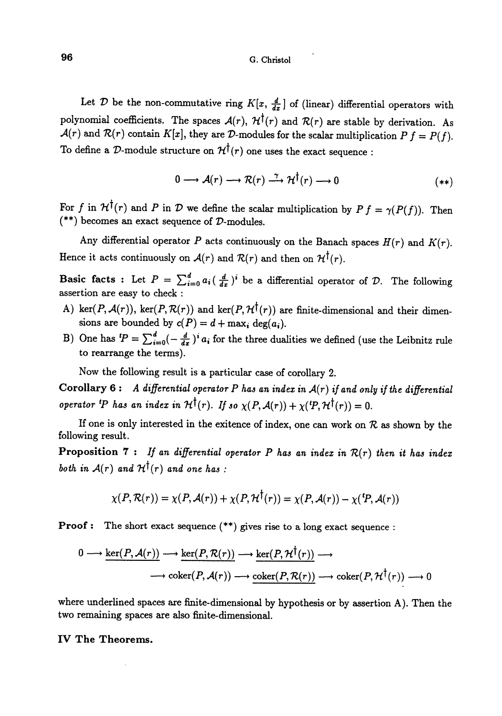#### G. Christol

Let D be the non-commutative ring  $K[x, \frac{d}{dx}]$  of (linear) differential operators with polynomial coefficients. The spaces  $\mathcal{A}(r)$ ,  $\mathcal{H}^{\dagger}(r)$  and  $\mathcal{R}(r)$  are stable by derivation. As  $\mathcal{A}(r)$  and  $\mathcal{R}(r)$  contain  $K[x]$ , they are D-modules for the scalar multiplication  $P f = P(f)$ . To define a D-module structure on  $\mathcal{H}^{\dagger}(r)$  one uses the exact sequence :

$$
0 \longrightarrow \mathcal{A}(r) \longrightarrow \mathcal{R}(r) \xrightarrow{\gamma} \mathcal{H}^{\dagger}(r) \longrightarrow 0 \tag{**}
$$

For f in  $\mathcal{H}^{\dagger}(r)$  and P in D we define the scalar multiplication by  $P f = \gamma(P(f))$ . Then  $(**)$  becomes an exact sequence of  $D$ -modules.

Any differential operator P acts continuously on the Banach spaces  $H(r)$  and  $K(r)$ . Hence it acts continuously on  $\mathcal{A}(r)$  and  $\mathcal{R}(r)$  and then on  $\mathcal{H}^{\dagger}(r)$ .

Basic facts : Let  $P = \sum_{i=0}^{d} a_i (\frac{d}{dx})^i$  be a differential operator of  $D$ . The following assertion are easy to check :

- A) ker(P,  $\mathcal{A}(r)$ ), ker(P,  $\mathcal{R}(r)$ ) and ker(P,  $\mathcal{H}^{\dagger}(r)$ ) are finite-dimensional and their dimensions are bounded by  $c(P) = d + \max_i \deg(a_i)$ .
- B) One has  $^{t}P = \sum_{i=0}^{d} (-\frac{d}{dx})^{i} a_i$  for the three dualities we defined (use the Leibnitz rule to rearrange the terms).

Now the following result is a particular case of corollary 2.

Corollary 6: A differential operator P has an index in  $A(r)$  if and only if the differential operator <sup>t</sup>P has an index in  $\mathcal{H}^{\dagger}(r)$ . If so  $\chi(P, \mathcal{A}(r)) + \chi(P, \mathcal{H}^{\dagger}(r)) = 0$ .

If one is only interested in the exitence of index, one can work on  $R$  as shown by the following result.

Proposition 7 : If an differential operator P has an index in  $R(r)$  then it has index both in  $A(r)$  and  $H^{\dagger}(r)$  and one has:

$$
\chi(P, \mathcal{R}(r)) = \chi(P, \mathcal{A}(r)) + \chi(P, \mathcal{H}^{\dagger}(r)) = \chi(P, \mathcal{A}(r)) - \chi^{\dagger}(P, \mathcal{A}(r))
$$

Proof : The short exact sequence (\*\*) gives rise to a long exact sequence :

$$
0 \longrightarrow \underline{\ker(P, \mathcal{A}(r))} \longrightarrow \underline{\ker(P, \mathcal{R}(r))} \longrightarrow \underline{\ker(P, \mathcal{H}^{\dagger}(r))} \longrightarrow
$$
  

$$
\longrightarrow \mathrm{coker}(P, \mathcal{A}(r)) \longrightarrow \underline{\mathrm{coker}(P, \mathcal{R}(r))} \longrightarrow \mathrm{coker}(P, \mathcal{H}^{\dagger}(r)) \longrightarrow 0
$$

where underlined spaces are finite-dimensional by hypothesis or by assertion A). Then the two remaining spaces are also finite-dimensional.

IV The Theorems.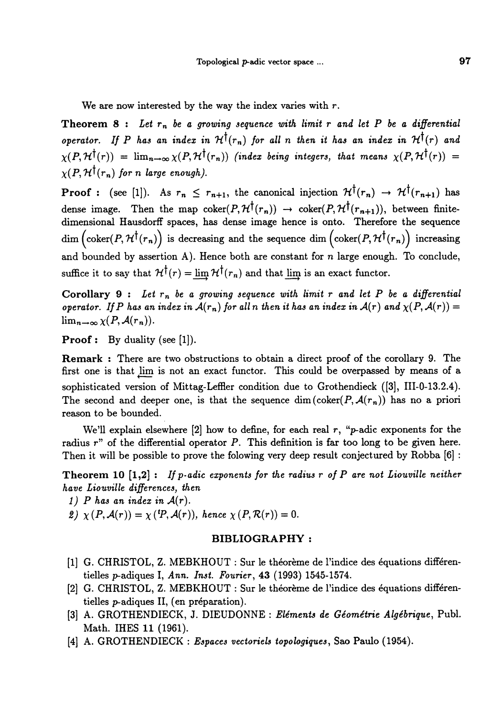We are now interested by the way the index varies with  $r$ .

Theorem 8 : Let  $r_n$  be a growing sequence with limit r and let P be a differential operator. If P has an index in  $\mathcal{H}^{\dagger}(r_n)$  for all n then it has an index in  $\mathcal{H}^{\dagger}(r)$  and  $\chi(P,\mathcal{H}^{\dagger}(r)) = \lim_{n\to\infty} \chi(P,\mathcal{H}^{\dagger}(r_n))$  (index being integers, that means  $\chi(P,\mathcal{H}^{\dagger}(r)) =$  $\chi(P, \mathcal{H}^{\dagger}(r_n))$  for n large enough).

**Proof :** (see [1]). As  $r_n \leq r_{n+1}$ , the canonical injection  $\mathcal{H}^{\dagger}(r_n) \to \mathcal{H}^{\dagger}(r_{n+1})$  has dense image. Then the map coker $(P, \mathcal{H}^{\dagger}(r_n)) \rightarrow \text{coker}(P, \mathcal{H}^{\dagger}(r_{n+1}))$ , between finitedimensional Hausdorff spaces, has dense image hence is onto. Therefore the sequence dim  $\left(\text{coker}(P, \mathcal{H}^{\dagger}(r_n)\right)$  is decreasing and the sequence dim  $\left(\text{coker}(P, \mathcal{H}^{\dagger}(r_n)\right)$  increasing and bounded by assertion A). Hence both are constant for  $n$  large enough. To conclude, suffice it to say that  $\mathcal{H}^{\dagger}(r) = \lim_{n \to \infty} \mathcal{H}^{\dagger}(r_n)$  and that lim is an exact functor.

Corollary 9 : Let  $r_n$  be a growing sequence with limit r and let P be a differential operator. If P has an index in  $\mathcal{A}(r_n)$  for all n then it has an index in  $\mathcal{A}(r)$  and  $\chi(P, \mathcal{A}(r)) =$  $\lim_{n\to\infty}\chi(P,\mathcal{A}(r_n)).$ 

**Proof:** By duality (see  $[1]$ ).

Remark : There are two obstructions to obtain a direct proof of the corollary 9. The first one is that lim is not an exact functor. This could be overpassed by means of a sophisticated version of Mittag-Leffler condition due to Grothendieck  $([3],$  III-0-13.2.4). The second and deeper one, is that the sequence dim (coker( $P$ ,  $\mathcal{A}(r_n)$ ) has no a priori reason to be bounded.

We'll explain elsewhere  $[2]$  how to define, for each real  $r$ , "*p*-adic exponents for the radius r" of the differential operator P. This definition is far too long to be given here. Then it will be possible to prove the folowing very deep result conjectured by Robba [6] :

**Theorem 10 [1,2]:** If p-adic exponents for the radius r of P are not Liouville neither have Liouville differences, then

- 1) P has an index in  $A(r)$ .
- 2)  $\chi(P, \mathcal{A}(r)) = \chi(\,^{t}P, \mathcal{A}(r)),$  hence  $\chi(P, \mathcal{R}(r)) = 0.$

## BIBLIOGRAPHY :

- [1] G. CHRISTOL, Z. MEBKHOUT : Sur le théorème de l'indice des équations différentielles p-adiques I, Ann. Inst. Fourier, 43 (1993) 1545-1574.
- [2] G. CHRISTOL, Z. MEBKHOUT : Sur le théorème de l'indice des équations différentielles p-adiques II, (en préparation).
- [3] A. GROTHENDIECK, J. DIEUDONNE : Eléments de Géométrie Algébrique, Publ. Math. IHES 11 (1961).
- [4] A. GROTHENDIECK : Espaces vectoriels topologiques, Sao Paulo (1954).